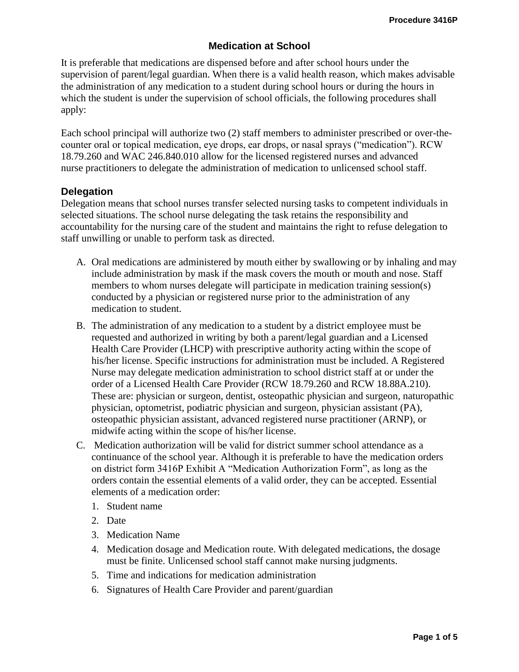### **Medication at School**

It is preferable that medications are dispensed before and after school hours under the supervision of parent/legal guardian. When there is a valid health reason, which makes advisable the administration of any medication to a student during school hours or during the hours in which the student is under the supervision of school officials, the following procedures shall apply:

Each school principal will authorize two (2) staff members to administer prescribed or over-thecounter oral or topical medication, eye drops, ear drops, or nasal sprays ("medication"). RCW 18.79.260 and WAC 246.840.010 allow for the licensed registered nurses and advanced nurse practitioners to delegate the administration of medication to unlicensed school staff.

#### **Delegation**

Delegation means that school nurses transfer selected nursing tasks to competent individuals in selected situations. The school nurse delegating the task retains the responsibility and accountability for the nursing care of the student and maintains the right to refuse delegation to staff unwilling or unable to perform task as directed.

- A. Oral medications are administered by mouth either by swallowing or by inhaling and may include administration by mask if the mask covers the mouth or mouth and nose. Staff members to whom nurses delegate will participate in medication training session(s) conducted by a physician or registered nurse prior to the administration of any medication to student.
- B. The administration of any medication to a student by a district employee must be requested and authorized in writing by both a parent/legal guardian and a Licensed Health Care Provider (LHCP) with prescriptive authority acting within the scope of his/her license. Specific instructions for administration must be included. A Registered Nurse may delegate medication administration to school district staff at or under the order of a Licensed Health Care Provider (RCW 18.79.260 and RCW 18.88A.210). These are: physician or surgeon, dentist, osteopathic physician and surgeon, naturopathic physician, optometrist, podiatric physician and surgeon, physician assistant (PA), osteopathic physician assistant, advanced registered nurse practitioner (ARNP), or midwife acting within the scope of his/her license.
- C. Medication authorization will be valid for district summer school attendance as a continuance of the school year. Although it is preferable to have the medication orders on district form 3416P Exhibit A "Medication Authorization Form", as long as the orders contain the essential elements of a valid order, they can be accepted. Essential elements of a medication order:
	- 1. Student name
	- 2. Date
	- 3. Medication Name
	- 4. Medication dosage and Medication route. With delegated medications, the dosage must be finite. Unlicensed school staff cannot make nursing judgments.
	- 5. Time and indications for medication administration
	- 6. Signatures of Health Care Provider and parent/guardian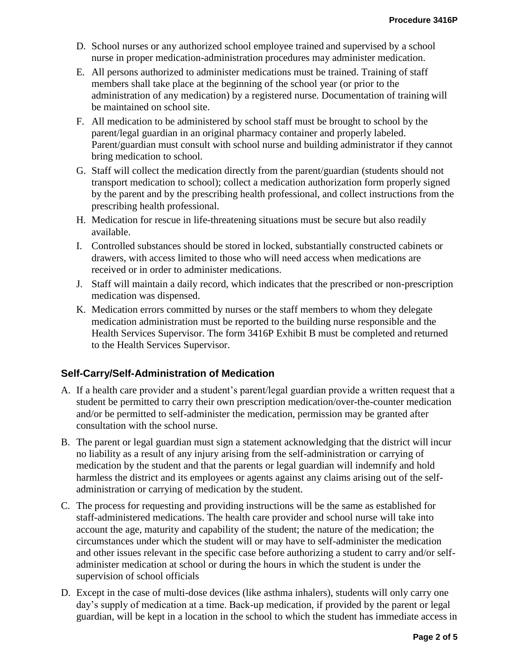- D. School nurses or any authorized school employee trained and supervised by a school nurse in proper medication-administration procedures may administer medication.
- E. All persons authorized to administer medications must be trained. Training of staff members shall take place at the beginning of the school year (or prior to the administration of any medication) by a registered nurse. Documentation of training will be maintained on school site.
- F. All medication to be administered by school staff must be brought to school by the parent/legal guardian in an original pharmacy container and properly labeled. Parent/guardian must consult with school nurse and building administrator if they cannot bring medication to school.
- G. Staff will collect the medication directly from the parent/guardian (students should not transport medication to school); collect a medication authorization form properly signed by the parent and by the prescribing health professional, and collect instructions from the prescribing health professional.
- H. Medication for rescue in life-threatening situations must be secure but also readily available.
- I. Controlled substances should be stored in locked, substantially constructed cabinets or drawers, with access limited to those who will need access when medications are received or in order to administer medications.
- J. Staff will maintain a daily record, which indicates that the prescribed or non-prescription medication was dispensed.
- K. Medication errors committed by nurses or the staff members to whom they delegate medication administration must be reported to the building nurse responsible and the Health Services Supervisor. The form 3416P Exhibit B must be completed and returned to the Health Services Supervisor.

## **Self-Carry/Self-Administration of Medication**

- A. If a health care provider and a student's parent/legal guardian provide a written request that a student be permitted to carry their own prescription medication/over-the-counter medication and/or be permitted to self-administer the medication, permission may be granted after consultation with the school nurse.
- B. The parent or legal guardian must sign a statement acknowledging that the district will incur no liability as a result of any injury arising from the self-administration or carrying of medication by the student and that the parents or legal guardian will indemnify and hold harmless the district and its employees or agents against any claims arising out of the selfadministration or carrying of medication by the student.
- C. The process for requesting and providing instructions will be the same as established for staff-administered medications. The health care provider and school nurse will take into account the age, maturity and capability of the student; the nature of the medication; the circumstances under which the student will or may have to self-administer the medication and other issues relevant in the specific case before authorizing a student to carry and/or selfadminister medication at school or during the hours in which the student is under the supervision of school officials
- D. Except in the case of multi-dose devices (like asthma inhalers), students will only carry one day's supply of medication at a time. Back-up medication, if provided by the parent or legal guardian, will be kept in a location in the school to which the student has immediate access in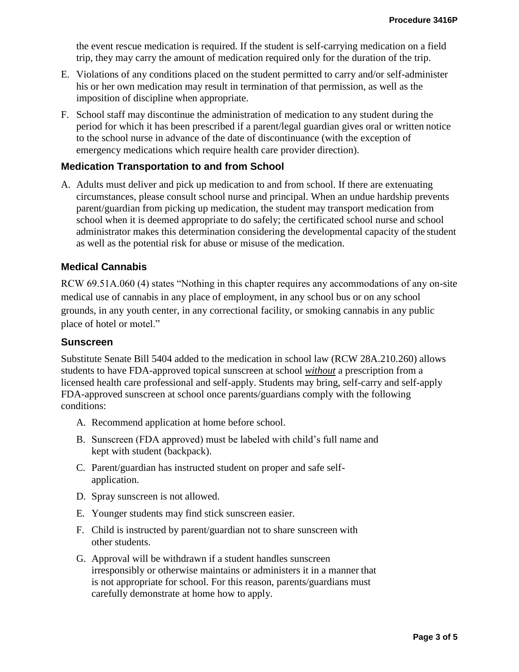the event rescue medication is required. If the student is self-carrying medication on a field trip, they may carry the amount of medication required only for the duration of the trip.

- E. Violations of any conditions placed on the student permitted to carry and/or self-administer his or her own medication may result in termination of that permission, as well as the imposition of discipline when appropriate.
- F. School staff may discontinue the administration of medication to any student during the period for which it has been prescribed if a parent/legal guardian gives oral or written notice to the school nurse in advance of the date of discontinuance (with the exception of emergency medications which require health care provider direction).

### **Medication Transportation to and from School**

A. Adults must deliver and pick up medication to and from school. If there are extenuating circumstances, please consult school nurse and principal. When an undue hardship prevents parent/guardian from picking up medication, the student may transport medication from school when it is deemed appropriate to do safely; the certificated school nurse and school administrator makes this determination considering the developmental capacity of the student as well as the potential risk for abuse or misuse of the medication.

### **Medical Cannabis**

RCW 69.51A.060 (4) states "Nothing in this chapter requires any accommodations of any on-site medical use of cannabis in any place of employment, in any school bus or on any school grounds, in any youth center, in any correctional facility, or smoking cannabis in any public place of hotel or motel."

#### **Sunscreen**

Substitute Senate Bill 5404 added to the medication in school law (RCW 28A.210.260) allows students to have FDA-approved topical sunscreen at school *without* a prescription from a licensed health care professional and self-apply. Students may bring, self-carry and self-apply FDA-approved sunscreen at school once parents/guardians comply with the following conditions:

- A. Recommend application at home before school.
- B. Sunscreen (FDA approved) must be labeled with child's full name and kept with student (backpack).
- C. Parent/guardian has instructed student on proper and safe selfapplication.
- D. Spray sunscreen is not allowed.
- E. Younger students may find stick sunscreen easier.
- F. Child is instructed by parent/guardian not to share sunscreen with other students.
- G. Approval will be withdrawn if a student handles sunscreen irresponsibly or otherwise maintains or administers it in a manner that is not appropriate for school. For this reason, parents/guardians must carefully demonstrate at home how to apply.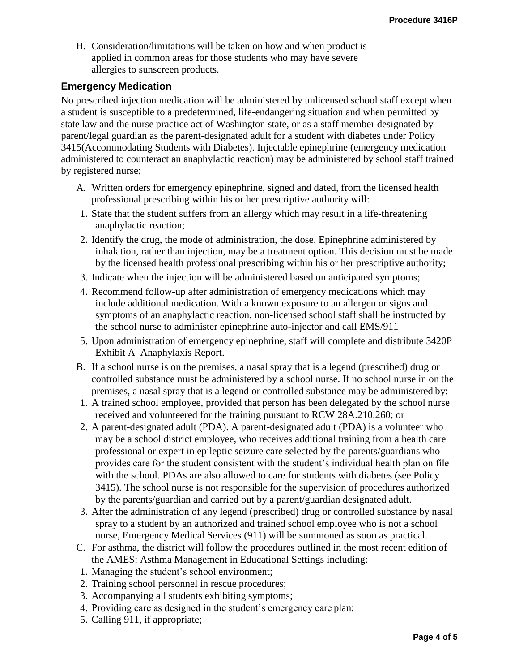H. Consideration/limitations will be taken on how and when product is applied in common areas for those students who may have severe allergies to sunscreen products.

#### **Emergency Medication**

No prescribed injection medication will be administered by unlicensed school staff except when a student is susceptible to a predetermined, life-endangering situation and when permitted by state law and the nurse practice act of Washington state, or as a staff member designated by parent/legal guardian as the parent-designated adult for a student with diabetes under Policy 3415(Accommodating Students with Diabetes). Injectable epinephrine (emergency medication administered to counteract an anaphylactic reaction) may be administered by school staff trained by registered nurse;

- A. Written orders for emergency epinephrine, signed and dated, from the licensed health professional prescribing within his or her prescriptive authority will:
- 1. State that the student suffers from an allergy which may result in a life-threatening anaphylactic reaction;
- 2. Identify the drug, the mode of administration, the dose. Epinephrine administered by inhalation, rather than injection, may be a treatment option. This decision must be made by the licensed health professional prescribing within his or her prescriptive authority;
- 3. Indicate when the injection will be administered based on anticipated symptoms;
- 4. Recommend follow-up after administration of emergency medications which may include additional medication. With a known exposure to an allergen or signs and symptoms of an anaphylactic reaction, non-licensed school staff shall be instructed by the school nurse to administer epinephrine auto-injector and call EMS/911
- 5. Upon administration of emergency epinephrine, staff will complete and distribute 3420P Exhibit A–Anaphylaxis Report.
- B. If a school nurse is on the premises, a nasal spray that is a legend (prescribed) drug or controlled substance must be administered by a school nurse. If no school nurse in on the premises, a nasal spray that is a legend or controlled substance may be administered by:
- 1. A trained school employee, provided that person has been delegated by the school nurse received and volunteered for the training pursuant to RCW 28A.210.260; or
- 2. A parent-designated adult (PDA). A parent-designated adult (PDA) is a volunteer who may be a school district employee, who receives additional training from a health care professional or expert in epileptic seizure care selected by the parents/guardians who provides care for the student consistent with the student's individual health plan on file with the school. PDAs are also allowed to care for students with diabetes (see Policy 3415). The school nurse is not responsible for the supervision of procedures authorized by the parents/guardian and carried out by a parent/guardian designated adult.
- 3. After the administration of any legend (prescribed) drug or controlled substance by nasal spray to a student by an authorized and trained school employee who is not a school nurse, Emergency Medical Services (911) will be summoned as soon as practical.
- C. For asthma, the district will follow the procedures outlined in the most recent edition of the AMES: Asthma Management in Educational Settings including:
- 1. Managing the student's school environment;
- 2. Training school personnel in rescue procedures;
- 3. Accompanying all students exhibiting symptoms;
- 4. Providing care as designed in the student's emergency care plan;
- 5. Calling 911, if appropriate;